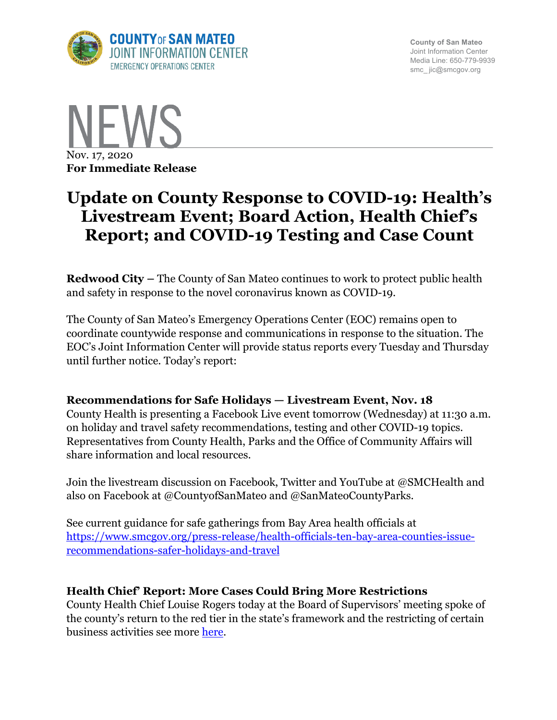

**County of San Mateo** Joint Information Center Media Line: 650-779-9939 smc\_ jic@smcgov.org



# **Update on County Response to COVID-19: Health's Livestream Event; Board Action, Health Chief's Report; and COVID-19 Testing and Case Count**

**Redwood City –** The County of San Mateo continues to work to protect public health and safety in response to the novel coronavirus known as COVID-19.

The County of San Mateo's Emergency Operations Center (EOC) remains open to coordinate countywide response and communications in response to the situation. The EOC's Joint Information Center will provide status reports every Tuesday and Thursday until further notice. Today's report:

# **Recommendations for Safe Holidays — Livestream Event, Nov. 18**

County Health is presenting a Facebook Live event tomorrow (Wednesday) at 11:30 a.m. on holiday and travel safety recommendations, testing and other COVID-19 topics. Representatives from County Health, Parks and the Office of Community Affairs will share information and local resources.

Join the livestream discussion on Facebook, Twitter and YouTube at @SMCHealth and also on Facebook at @CountyofSanMateo and @SanMateoCountyParks.

See current guidance for safe gatherings from Bay Area health officials at https://www.smcgov.org/press-release/health-officials-ten-bay-area-counties-issuerecommendations-safer-holidays-and-travel

# **Health Chief' Report: More Cases Could Bring More Restrictions**

County Health Chief Louise Rogers today at the Board of Supervisors' meeting spoke of the county's return to the red tier in the state's framework and the restricting of certain business activities see more here.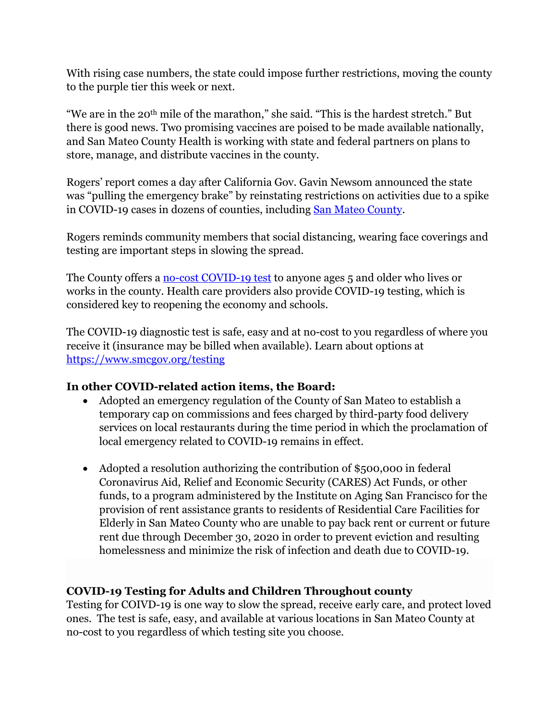With rising case numbers, the state could impose further restrictions, moving the county to the purple tier this week or next.

"We are in the 20th mile of the marathon," she said. "This is the hardest stretch." But there is good news. Two promising vaccines are poised to be made available nationally, and San Mateo County Health is working with state and federal partners on plans to store, manage, and distribute vaccines in the county.

Rogers' report comes a day after California Gov. Gavin Newsom announced the state was "pulling the emergency brake" by reinstating restrictions on activities due to a spike in COVID-19 cases in dozens of counties, including San Mateo County.

Rogers reminds community members that social distancing, wearing face coverings and testing are important steps in slowing the spread.

The County offers a <u>no-cost COVID-19 test</u> to anyone ages 5 and older who lives or works in the county. Health care providers also provide COVID-19 testing, which is considered key to reopening the economy and schools.

The COVID-19 diagnostic test is safe, easy and at no-cost to you regardless of where you receive it (insurance may be billed when available). Learn about options at https://www.smcgov.org/testing

# **In other COVID-related action items, the Board:**

- Adopted an emergency regulation of the County of San Mateo to establish a temporary cap on commissions and fees charged by third-party food delivery services on local restaurants during the time period in which the proclamation of local emergency related to COVID-19 remains in effect.
- Adopted a resolution authorizing the contribution of \$500,000 in federal Coronavirus Aid, Relief and Economic Security (CARES) Act Funds, or other funds, to a program administered by the Institute on Aging San Francisco for the provision of rent assistance grants to residents of Residential Care Facilities for Elderly in San Mateo County who are unable to pay back rent or current or future rent due through December 30, 2020 in order to prevent eviction and resulting homelessness and minimize the risk of infection and death due to COVID-19.

# **COVID-19 Testing for Adults and Children Throughout county**

Testing for COIVD-19 is one way to slow the spread, receive early care, and protect loved ones. The test is safe, easy, and available at various locations in San Mateo County at no-cost to you regardless of which testing site you choose.